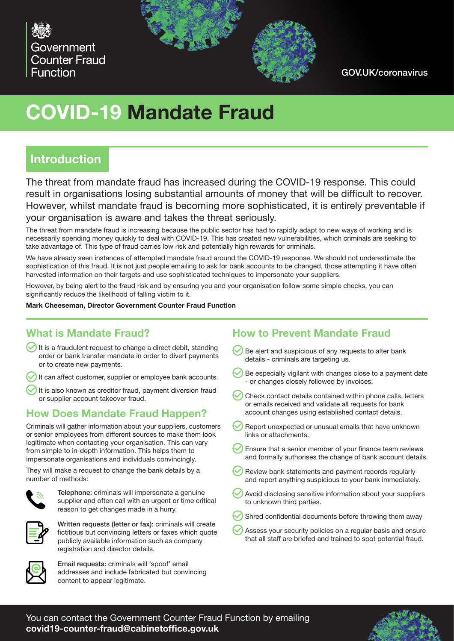



GOV.UK/coronavirus

# **COVID-19 Mandate Fraud**

### **Introduction**

The threat from mandate fraud has increased during the COVID-19 response. This could result in organisations losing substantial amounts of money that will be difficult to recover. However, whilst mandate fraud is becoming more sophisticated, it is entirely preventable if your organisation is aware and takes the threat seriously.

The threat from mandate fraud is increasing because the public sector has had to rapidly adapt to new ways of working and is necessarily spending money quickly to deal with COVID-19. This has created new vulnerabilities, which criminals are seeking to take advantage of. This type of fraud carries low risk and potentially high rewards for criminals.

We have already seen instances of attempted mandate fraud around the COVID-19 response. We should not underestimate the sophistication of this fraud. It is not just people emailing to ask for bank accounts to be changed, those attempting it have often harvested information on their targets and use sophisticated techniques to impersonate your suppliers.

However, by being alert to the fraud risk and by ensuring you and your organisation follow some simple checks, you can significantly reduce the likelihood of falling victim to it.

**Mark Cheeseman, Director Government Counter Fraud Function**

#### **What is Mandate Fraud?**

It is a fraudulent request to change a direct debit, standing order or bank transfer mandate in order to divert payments or to create new payments.

It can affect customer, supplier or employee bank accounts.

 $\bigcirc$  It is also known as creditor fraud, payment diversion fraud or supplier account takeover fraud.

#### **How Does Mandate Fraud Happen?**

Criminals will gather information about your suppliers, customers or senior employees from different sources to make them look legitimate when contacting your organisation. This can vary from simple to in-depth information. This helps them to impersonate organisations and individuals convincingly.

They will make a request to change the bank details by a number of methods:



Telephone: criminals will impersonate a genuine supplier and often call with an urgent or time critical reason to get changes made in a hurry.



Written requests (letter or fax): criminals will create fictitious but convincing letters or faxes which quote publicly available information such as company registration and director details.



Email requests: criminals will 'spoof' email addresses and include fabricated but convincing content to appear legitimate.

#### **How to Prevent Mandate Fraud**

- $\vee$  Be alert and suspicious of any requests to alter bank details - criminals are targeting us.
- $\vee$  Be especially vigilant with changes close to a payment date - or changes closely followed by invoices.
- Check contact details contained within phone calls, letters or emails received and validate all requests for bank account changes using established contact details.
- Report unexpected or unusual emails that have unknown links or attachments.
- $\vee$  Ensure that a senior member of your finance team reviews and formally authorises the change of bank account details.
- Review bank statements and payment records regularly and report anything suspicious to your bank immediately.
- Avoid disclosing sensitive information about your suppliers to unknown third parties.
- Shred confidential documents before throwing them away
- Assess your security policies on a regular basis and ensure that all staff are briefed and trained to spot potential fraud.